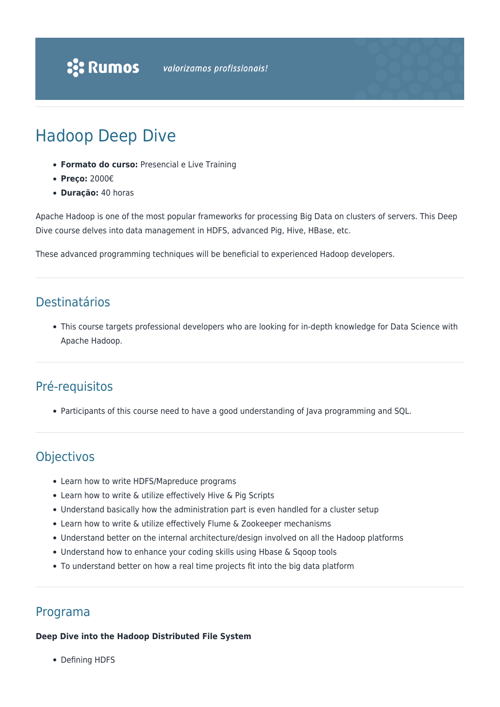# Hadoop Deep Dive

- **Formato do curso:** Presencial e Live Training
- **Preço:** 2000€
- **Duração:** 40 horas

Apache Hadoop is one of the most popular frameworks for processing Big Data on clusters of servers. This Deep Dive course delves into data management in HDFS, advanced Pig, Hive, HBase, etc.

These advanced programming techniques will be beneficial to experienced Hadoop developers.

# Destinatários

This course targets professional developers who are looking for in-depth knowledge for Data Science with Apache Hadoop.

# Pré-requisitos

Participants of this course need to have a good understanding of Java programming and SQL.

# **Objectivos**

- Learn how to write HDFS/Mapreduce programs
- Learn how to write & utilize effectively Hive & Pig Scripts
- Understand basically how the administration part is even handled for a cluster setup
- Learn how to write & utilize effectively Flume & Zookeeper mechanisms
- Understand better on the internal architecture/design involved on all the Hadoop platforms
- Understand how to enhance your coding skills using Hbase & Sqoop tools
- To understand better on how a real time projects fit into the big data platform

# Programa

#### **Deep Dive into the Hadoop Distributed File System**

• Defining HDFS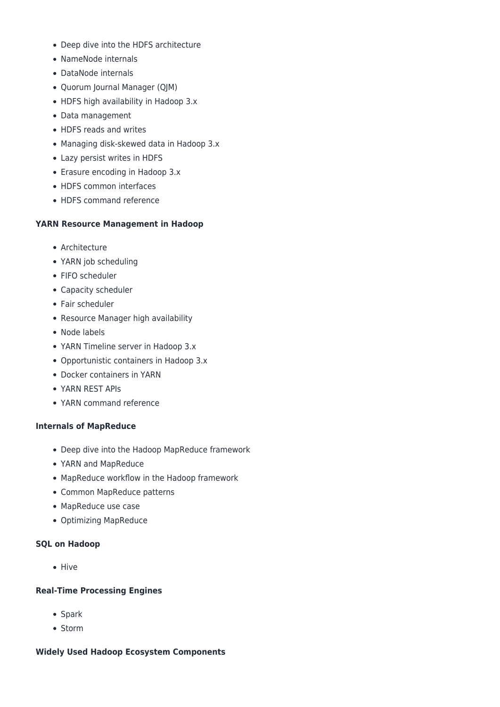- Deep dive into the HDFS architecture
- NameNode internals
- DataNode internals
- Quorum Journal Manager (QJM)
- HDFS high availability in Hadoop 3.x
- Data management
- HDFS reads and writes
- Managing disk-skewed data in Hadoop 3.x
- Lazy persist writes in HDFS
- Erasure encoding in Hadoop 3.x
- HDFS common interfaces
- HDFS command reference

#### **YARN Resource Management in Hadoop**

- Architecture
- YARN job scheduling
- FIFO scheduler
- Capacity scheduler
- Fair scheduler
- Resource Manager high availability
- Node labels
- YARN Timeline server in Hadoop 3.x
- Opportunistic containers in Hadoop 3.x
- Docker containers in YARN
- YARN REST APIs
- YARN command reference

#### **Internals of MapReduce**

- Deep dive into the Hadoop MapReduce framework
- YARN and MapReduce
- MapReduce workflow in the Hadoop framework
- Common MapReduce patterns
- MapReduce use case
- Optimizing MapReduce

#### **SQL on Hadoop**

 $\bullet$  Hive

#### **Real-Time Processing Engines**

- Spark
- Storm

#### **Widely Used Hadoop Ecosystem Components**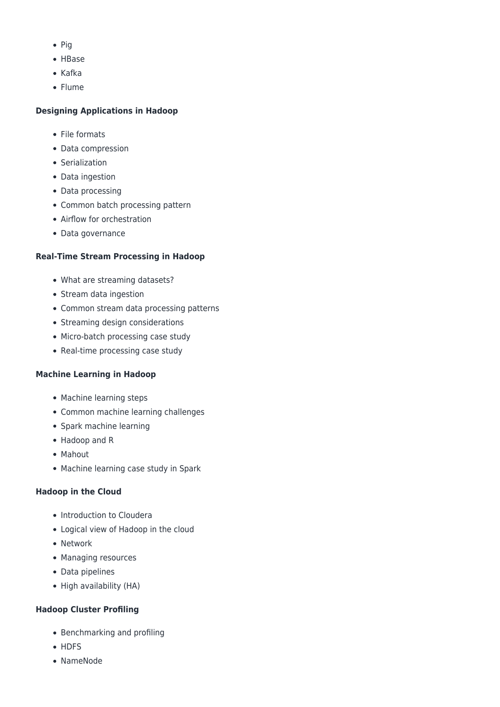- $\bullet$  Pig
- HBase
- $\bullet$  Kafka
- Flume

# **Designing Applications in Hadoop**

- File formats
- Data compression
- Serialization
- Data ingestion
- Data processing
- Common batch processing pattern
- Airflow for orchestration
- Data governance

# **Real-Time Stream Processing in Hadoop**

- What are streaming datasets?
- Stream data ingestion
- Common stream data processing patterns
- Streaming design considerations
- Micro-batch processing case study
- Real-time processing case study

# **Machine Learning in Hadoop**

- Machine learning steps
- Common machine learning challenges
- Spark machine learning
- Hadoop and R
- Mahout
- Machine learning case study in Spark

# **Hadoop in the Cloud**

- Introduction to Cloudera
- Logical view of Hadoop in the cloud
- Network
- Managing resources
- Data pipelines
- High availability (HA)

# **Hadoop Cluster Profiling**

- Benchmarking and profiling
- HDFS
- NameNode